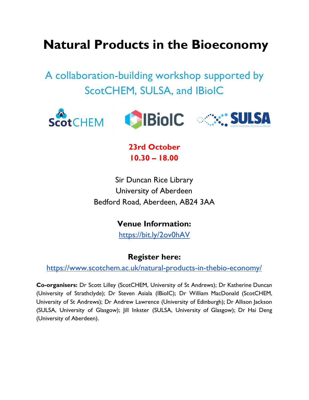## **Natural Products in the Bioeconomy**

A collaboration-building workshop supported by ScotCHEM, SULSA, and IBioIC



**23rd October 10.30 – 18.00**

Sir Duncan Rice Library University of Aberdeen Bedford Road, Aberdeen, AB24 3AA

**Venue Information:**

<https://bit.ly/2ov0hAV>

## **Register here[:](http://www.scotchem.ac.uk/----)**

<https://www.scotchem.ac.uk/natural-products-in-thebio-economy/>

**Co-organisers:** Dr Scott Lilley (ScotCHEM, University of St Andrews); Dr Katherine Duncan (University of Strathclyde); Dr Steven Asiala (IBioIC); Dr William MacDonald (ScotCHEM, University of St Andrews); Dr Andrew Lawrence (University of Edinburgh); Dr Allison Jackson (SULSA, University of Glasgow); Jill Inkster (SULSA, University of Glasgow); Dr Hai Deng (University of Aberdeen).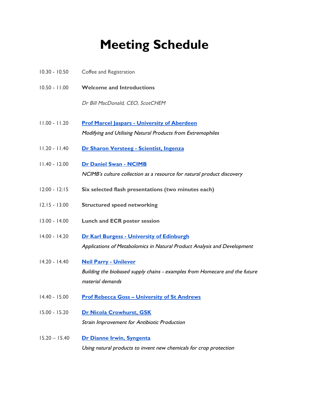# **Meeting Schedule**

| $10.30 - 10.50$ | Coffee and Registration                                                                                                         |
|-----------------|---------------------------------------------------------------------------------------------------------------------------------|
| $10.50 - 11.00$ | <b>Welcome and Introductions</b>                                                                                                |
|                 | Dr Bill MacDonald, CEO, ScotCHEM                                                                                                |
| $11.00 - 11.20$ | <b>Prof Marcel Jaspars - University of Aberdeen</b><br>Modifying and Utilising Natural Products from Extremophiles              |
| $11.20 - 11.40$ | Dr Sharon Versteeg - Scientist, Ingenza                                                                                         |
| $11.40 - 12.00$ | <b>Dr Daniel Swan - NCIMB</b><br>NCIMB's culture collection as a resource for natural product discovery                         |
| $12:00 - 12:15$ | Six selected flash presentations (two minutes each)                                                                             |
| $12.15 - 13.00$ | <b>Structured speed networking</b>                                                                                              |
| $13.00 - 14.00$ | <b>Lunch and ECR poster session</b>                                                                                             |
| $14.00 - 14.20$ | <b>Dr Karl Burgess - University of Edinburgh</b><br>Applications of Metabolomics in Natural Product Analysis and Development    |
| $14.20 - 14.40$ | <b>Neil Parry - Unilever</b><br>Building the biobased supply chains - examples from Homecare and the future<br>material demands |
| $14.40 - 15.00$ | <b>Prof Rebecca Goss - University of St Andrews</b>                                                                             |
| $15.00 - 15.20$ | <b>Dr Nicola Crowhurst, GSK</b><br>Strain Improvement for Antibiotic Production                                                 |
| $15.20 - 15.40$ | Dr Dianne Irwin, Syngenta<br>Using natural products to invent new chemicals for crop protection                                 |